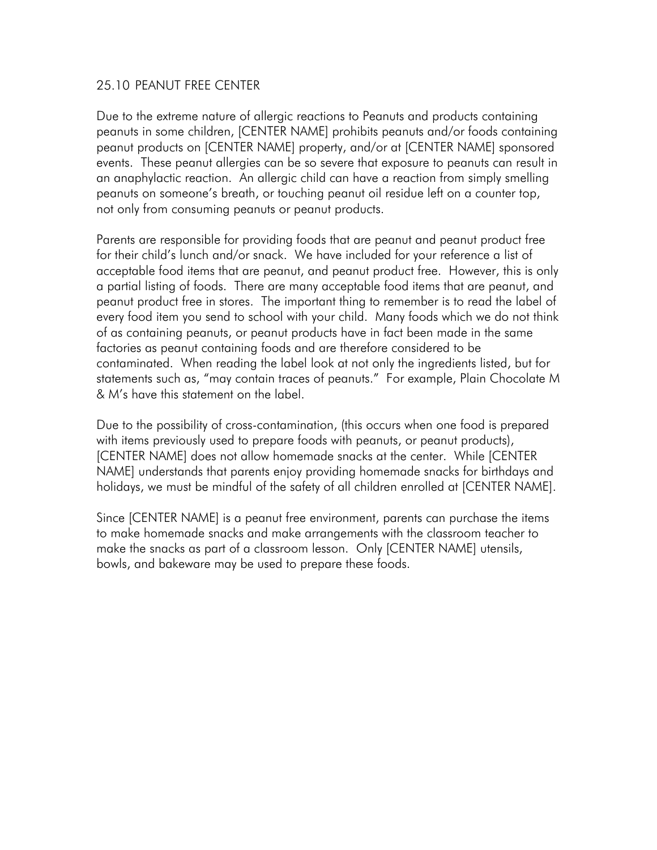## 25.10 PEANUT FREE CENTER

Due to the extreme nature of allergic reactions to Peanuts and products containing peanuts in some children, [CENTER NAME] prohibits peanuts and/or foods containing peanut products on [CENTER NAME] property, and/or at [CENTER NAME] sponsored events. These peanut allergies can be so severe that exposure to peanuts can result in an anaphylactic reaction. An allergic child can have a reaction from simply smelling peanuts on someone's breath, or touching peanut oil residue left on a counter top, not only from consuming peanuts or peanut products.

Parents are responsible for providing foods that are peanut and peanut product free for their child's lunch and/or snack. We have included for your reference a list of acceptable food items that are peanut, and peanut product free. However, this is only a partial listing of foods. There are many acceptable food items that are peanut, and peanut product free in stores. The important thing to remember is to read the label of every food item you send to school with your child. Many foods which we do not think of as containing peanuts, or peanut products have in fact been made in the same factories as peanut containing foods and are therefore considered to be contaminated. When reading the label look at not only the ingredients listed, but for statements such as, "may contain traces of peanuts." For example, Plain Chocolate M & M's have this statement on the label.

Due to the possibility of cross-contamination, (this occurs when one food is prepared with items previously used to prepare foods with peanuts, or peanut products), [CENTER NAME] does not allow homemade snacks at the center. While [CENTER NAME] understands that parents enjoy providing homemade snacks for birthdays and holidays, we must be mindful of the safety of all children enrolled at [CENTER NAME].

Since [CENTER NAME] is a peanut free environment, parents can purchase the items to make homemade snacks and make arrangements with the classroom teacher to make the snacks as part of a classroom lesson. Only [CENTER NAME] utensils, bowls, and bakeware may be used to prepare these foods.